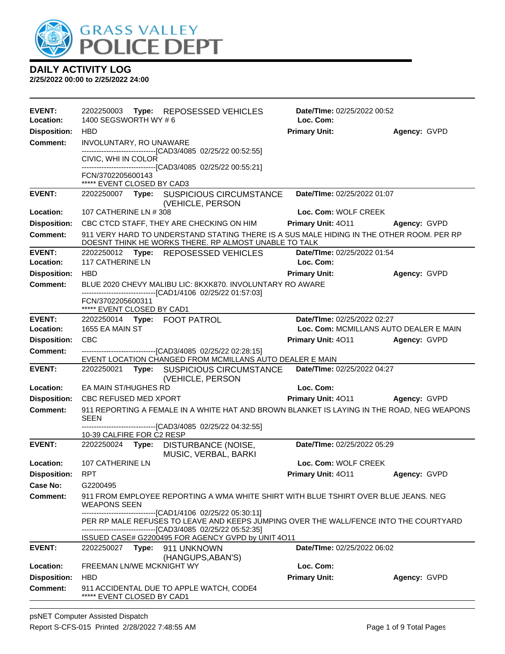

| <b>EVENT:</b><br>Location: | 2202250003 Type: REPOSESSED VEHICLES<br>1400 SEGSWORTH WY #6                                                                                           | Date/TIme: 02/25/2022 00:52<br>Loc. Com: |              |
|----------------------------|--------------------------------------------------------------------------------------------------------------------------------------------------------|------------------------------------------|--------------|
| <b>Disposition:</b>        | <b>HBD</b>                                                                                                                                             | <b>Primary Unit:</b>                     | Agency: GVPD |
| <b>Comment:</b>            | INVOLUNTARY, RO UNAWARE                                                                                                                                |                                          |              |
|                            | -------------------------------[CAD3/4085 02/25/22 00:52:55]<br>CIVIC, WHI IN COLOR                                                                    |                                          |              |
|                            | -------------------------------[CAD3/4085 02/25/22 00:55:21]                                                                                           |                                          |              |
|                            | FCN/3702205600143<br>***** EVENT CLOSED BY CAD3                                                                                                        |                                          |              |
| <b>EVENT:</b>              | 2202250007 Type: SUSPICIOUS CIRCUMSTANCE<br>(VEHICLE, PERSON                                                                                           | Date/TIme: 02/25/2022 01:07              |              |
| Location:                  | 107 CATHERINE LN # 308                                                                                                                                 | Loc. Com: WOLF CREEK                     |              |
| <b>Disposition:</b>        | CBC CTCD STAFF, THEY ARE CHECKING ON HIM                                                                                                               | Primary Unit: 4011                       | Agency: GVPD |
| <b>Comment:</b>            | 911 VERY HARD TO UNDERSTAND STATING THERE IS A SUS MALE HIDING IN THE OTHER ROOM. PER RP<br>DOESNT THINK HE WORKS THERE. RP ALMOST UNABLE TO TALK      |                                          |              |
| <b>EVENT:</b>              | 2202250012 Type: REPOSESSED VEHICLES                                                                                                                   | Date/TIme: 02/25/2022 01:54              |              |
| Location:                  | <b>117 CATHERINE LN</b>                                                                                                                                | Loc. Com:                                |              |
| <b>Disposition:</b>        | <b>HBD</b>                                                                                                                                             | <b>Primary Unit:</b>                     | Agency: GVPD |
| <b>Comment:</b>            | BLUE 2020 CHEVY MALIBU LIC: 8KXK870. INVOLUNTARY RO AWARE<br>-------------------------------[CAD1/4106 02/25/22 01:57:03]                              |                                          |              |
|                            | FCN/3702205600311<br>***** EVENT CLOSED BY CAD1                                                                                                        |                                          |              |
| <b>EVENT:</b>              | 2202250014 Type: FOOT PATROL                                                                                                                           | Date/TIme: 02/25/2022 02:27              |              |
| Location:                  | 1655 EA MAIN ST                                                                                                                                        | Loc. Com: MCMILLANS AUTO DEALER E MAIN   |              |
| <b>Disposition:</b>        | <b>CBC</b>                                                                                                                                             | <b>Primary Unit: 4011</b>                | Agency: GVPD |
| <b>Comment:</b>            | --------------------------------[CAD3/4085 02/25/22 02:28:15]                                                                                          |                                          |              |
| <b>EVENT:</b>              | EVENT LOCATION CHANGED FROM MCMILLANS AUTO DEALER E MAIN                                                                                               | Date/TIme: 02/25/2022 04:27              |              |
|                            | 2202250021 Type: SUSPICIOUS CIRCUMSTANCE<br>(VEHICLE, PERSON                                                                                           |                                          |              |
| Location:                  | EA MAIN ST/HUGHES RD                                                                                                                                   | Loc. Com:                                |              |
| <b>Disposition:</b>        | <b>CBC REFUSED MED XPORT</b>                                                                                                                           | Primary Unit: 4011 Agency: GVPD          |              |
| <b>Comment:</b>            | 911 REPORTING A FEMALE IN A WHITE HAT AND BROWN BLANKET IS LAYING IN THE ROAD, NEG WEAPONS<br><b>SEEN</b>                                              |                                          |              |
|                            | ------------------------------[CAD3/4085 02/25/22 04:32:55]<br>10-39 CALFIRE FOR C2 RESP                                                               |                                          |              |
| <b>EVENT:</b>              | 2202250024 Type: DISTURBANCE (NOISE,<br>MUSIC, VERBAL, BARKI                                                                                           | Date/TIme: 02/25/2022 05:29              |              |
| Location:                  | 107 CATHERINE LN                                                                                                                                       | Loc. Com: WOLF CREEK                     |              |
| <b>Disposition:</b>        | <b>RPT</b>                                                                                                                                             | Primary Unit: 4011                       | Agency: GVPD |
| Case No:                   | G2200495                                                                                                                                               |                                          |              |
| Comment:                   | 911 FROM EMPLOYEE REPORTING A WMA WHITE SHIRT WITH BLUE TSHIRT OVER BLUE JEANS. NEG<br><b>WEAPONS SEEN</b>                                             |                                          |              |
|                            | -------------------------------[CAD1/4106 02/25/22 05:30:11]                                                                                           |                                          |              |
|                            | PER RP MALE REFUSES TO LEAVE AND KEEPS JUMPING OVER THE WALL/FENCE INTO THE COURTYARD<br>--------------------------------[CAD3/4085 02/25/22 05:52:35] |                                          |              |
|                            | ISSUED CASE# G2200495 FOR AGENCY GVPD by UNIT 4O11                                                                                                     |                                          |              |
| <b>EVENT:</b>              | 2202250027 Type: 911 UNKNOWN<br>(HANGUPS, ABAN'S)                                                                                                      | Date/TIme: 02/25/2022 06:02              |              |
| Location:                  | FREEMAN LN/WE MCKNIGHT WY                                                                                                                              | Loc. Com:                                |              |
| <b>Disposition:</b>        | <b>HBD</b>                                                                                                                                             | <b>Primary Unit:</b>                     | Agency: GVPD |
| <b>Comment:</b>            | 911 ACCIDENTAL DUE TO APPLE WATCH, CODE4<br>***** EVENT CLOSED BY CAD1                                                                                 |                                          |              |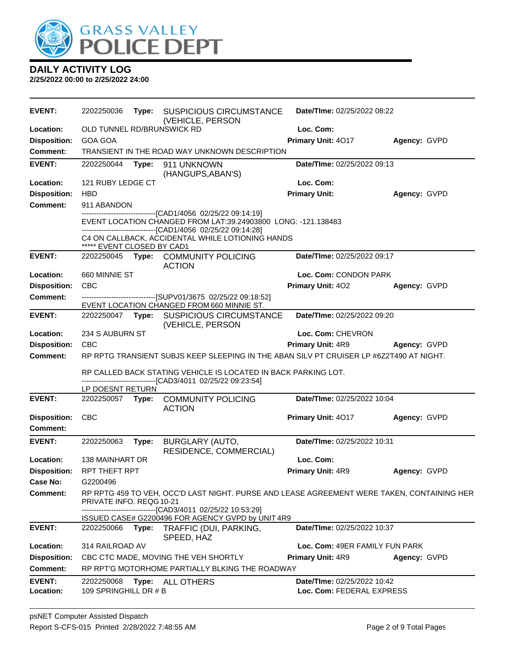

| <b>EVENT:</b>              | 2202250036                          | Type: | <b>SUSPICIOUS CIRCUMSTANCE</b><br>(VEHICLE, PERSON                                                                                                                                                                                        | Date/TIme: 02/25/2022 08:22                              |              |
|----------------------------|-------------------------------------|-------|-------------------------------------------------------------------------------------------------------------------------------------------------------------------------------------------------------------------------------------------|----------------------------------------------------------|--------------|
| Location:                  | OLD TUNNEL RD/BRUNSWICK RD          |       |                                                                                                                                                                                                                                           | Loc. Com:                                                |              |
| <b>Disposition:</b>        | <b>GOA GOA</b>                      |       |                                                                                                                                                                                                                                           | Primary Unit: 4017                                       | Agency: GVPD |
| <b>Comment:</b>            |                                     |       | TRANSIENT IN THE ROAD WAY UNKNOWN DESCRIPTION                                                                                                                                                                                             |                                                          |              |
| <b>EVENT:</b>              | 2202250044                          | Type: | 911 UNKNOWN<br>(HANGUPS, ABAN'S)                                                                                                                                                                                                          | Date/TIme: 02/25/2022 09:13                              |              |
| Location:                  | 121 RUBY LEDGE CT                   |       |                                                                                                                                                                                                                                           | Loc. Com:                                                |              |
| <b>Disposition:</b>        | <b>HBD</b>                          |       |                                                                                                                                                                                                                                           | <b>Primary Unit:</b>                                     | Agency: GVPD |
| <b>Comment:</b>            | 911 ABANDON                         |       |                                                                                                                                                                                                                                           |                                                          |              |
|                            | ***** EVENT CLOSED BY CAD1          |       | -----------------------[CAD1/4056 02/25/22 09:14:19]<br>EVENT LOCATION CHANGED FROM LAT:39.24903800 LONG: -121.138483<br>-------------------------------[CAD1/4056 02/25/22 09:14:28]<br>C4 ON CALLBACK, ACCIDENTAL WHILE LOTIONING HANDS |                                                          |              |
| <b>EVENT:</b>              |                                     |       | 2202250045 Type: COMMUNITY POLICING<br><b>ACTION</b>                                                                                                                                                                                      | Date/TIme: 02/25/2022 09:17                              |              |
| Location:                  | 660 MINNIE ST                       |       |                                                                                                                                                                                                                                           | Loc. Com: CONDON PARK                                    |              |
| <b>Disposition:</b>        | <b>CBC</b>                          |       |                                                                                                                                                                                                                                           | Primary Unit: 402                                        | Agency: GVPD |
| <b>Comment:</b>            |                                     |       | --------------------------------[SUPV01/3675_02/25/22_09:18:52]<br>EVENT LOCATION CHANGED FROM 660 MINNIE ST.                                                                                                                             |                                                          |              |
| <b>EVENT:</b>              |                                     |       | 2202250047 Type: SUSPICIOUS CIRCUMSTANCE<br>(VEHICLE, PERSON                                                                                                                                                                              | Date/TIme: 02/25/2022 09:20                              |              |
| Location:                  | 234 S AUBURN ST                     |       |                                                                                                                                                                                                                                           | Loc. Com: CHEVRON                                        |              |
| <b>Disposition:</b>        | <b>CBC</b>                          |       |                                                                                                                                                                                                                                           | Primary Unit: 4R9                                        | Agency: GVPD |
|                            |                                     |       |                                                                                                                                                                                                                                           |                                                          |              |
| <b>Comment:</b>            |                                     |       | RP RPTG TRANSIENT SUBJS KEEP SLEEPING IN THE ABAN SILV PT CRUISER LP #6Z2T490 AT NIGHT.<br>RP CALLED BACK STATING VEHICLE IS LOCATED IN BACK PARKING LOT.                                                                                 |                                                          |              |
|                            |                                     |       | ------------------------------[CAD3/4011 02/25/22 09:23:54]                                                                                                                                                                               |                                                          |              |
| <b>EVENT:</b>              | LP DOESNT RETURN                    |       | 2202250057 Type: COMMUNITY POLICING                                                                                                                                                                                                       | Date/TIme: 02/25/2022 10:04                              |              |
| <b>Disposition:</b>        | <b>CBC</b>                          |       | <b>ACTION</b>                                                                                                                                                                                                                             | Primary Unit: 4017                                       | Agency: GVPD |
| <b>Comment:</b>            |                                     |       |                                                                                                                                                                                                                                           |                                                          |              |
| <b>EVENT:</b>              | 2202250063                          | Type: | BURGLARY (AUTO,<br>RESIDENCE, COMMERCIAL)                                                                                                                                                                                                 | Date/TIme: 02/25/2022 10:31                              |              |
| Location:                  | 138 MAINHART DR                     |       |                                                                                                                                                                                                                                           | Loc. Com:                                                |              |
| Disposition:               | <b>RPT THEFT RPT</b>                |       |                                                                                                                                                                                                                                           | <b>Primary Unit: 4R9</b>                                 | Agency: GVPD |
| Case No:                   | G2200496                            |       |                                                                                                                                                                                                                                           |                                                          |              |
| <b>Comment:</b>            | PRIVATE INFO. REQG10-21             |       | RP RPTG 459 TO VEH, OCC'D LAST NIGHT. PURSE AND LEASE AGREEMENT WERE TAKEN, CONTAINING HER                                                                                                                                                |                                                          |              |
|                            |                                     |       | -------------------------------[CAD3/4011 02/25/22 10:53:29]                                                                                                                                                                              |                                                          |              |
| <b>EVENT:</b>              |                                     |       | ISSUED CASE# G2200496 FOR AGENCY GVPD by UNIT 4R9<br>2202250066 Type: TRAFFIC (DUI, PARKING,                                                                                                                                              | Date/TIme: 02/25/2022 10:37                              |              |
| Location:                  | 314 RAILROAD AV                     |       | SPEED, HAZ                                                                                                                                                                                                                                | Loc. Com: 49ER FAMILY FUN PARK                           |              |
| <b>Disposition:</b>        |                                     |       | CBC CTC MADE, MOVING THE VEH SHORTLY                                                                                                                                                                                                      | <b>Primary Unit: 4R9</b>                                 | Agency: GVPD |
| <b>Comment:</b>            |                                     |       | RP RPT'G MOTORHOME PARTIALLY BLKING THE ROADWAY                                                                                                                                                                                           |                                                          |              |
| <b>EVENT:</b><br>Location: | 2202250068<br>109 SPRINGHILL DR # B |       | Type: ALL OTHERS                                                                                                                                                                                                                          | Date/TIme: 02/25/2022 10:42<br>Loc. Com: FEDERAL EXPRESS |              |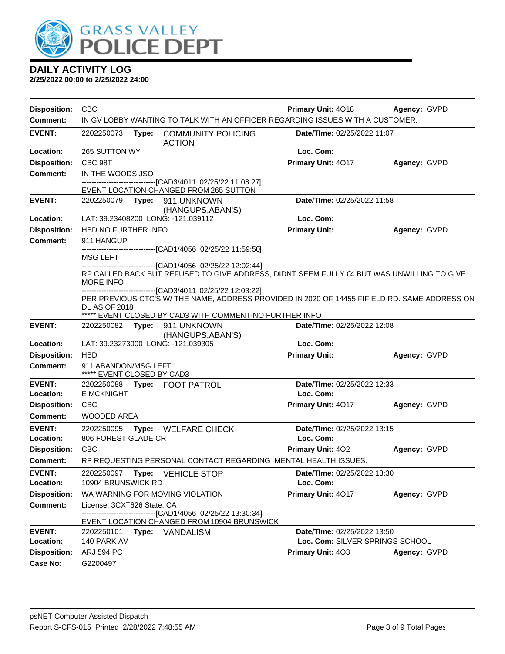

| <b>Disposition:</b>              | <b>CBC</b>                                                                                                                                                | Primary Unit: 4018                       | Agency: GVPD |
|----------------------------------|-----------------------------------------------------------------------------------------------------------------------------------------------------------|------------------------------------------|--------------|
| Comment:                         | IN GV LOBBY WANTING TO TALK WITH AN OFFICER REGARDING ISSUES WITH A CUSTOMER.                                                                             |                                          |              |
| <b>EVENT:</b>                    | 2202250073<br>Type:<br><b>COMMUNITY POLICING</b><br><b>ACTION</b>                                                                                         | Date/TIme: 02/25/2022 11:07              |              |
| Location:                        | 265 SUTTON WY                                                                                                                                             | Loc. Com:                                |              |
| <b>Disposition:</b>              | CBC 98T                                                                                                                                                   | Primary Unit: 4017                       | Agency: GVPD |
| <b>Comment:</b>                  | IN THE WOODS JSO                                                                                                                                          |                                          |              |
|                                  | -------------------------------[CAD3/4011 02/25/22 11:08:27]<br>EVENT LOCATION CHANGED FROM 265 SUTTON                                                    |                                          |              |
| <b>EVENT:</b>                    | 2202250079 Type:<br>911 UNKNOWN                                                                                                                           | Date/TIme: 02/25/2022 11:58              |              |
| Location:                        | (HANGUPS, ABAN'S)<br>LAT: 39.23408200 LONG: -121.039112                                                                                                   | Loc. Com:                                |              |
| <b>Disposition:</b>              | HBD NO FURTHER INFO                                                                                                                                       | <b>Primary Unit:</b>                     | Agency: GVPD |
| <b>Comment:</b>                  | 911 HANGUP                                                                                                                                                |                                          |              |
|                                  | -------------------------------[CAD1/4056 02/25/22 11:59:50]                                                                                              |                                          |              |
|                                  | MSG LEFT<br>--------------------------------[CAD1/4056 02/25/22 12:02:44]                                                                                 |                                          |              |
|                                  | RP CALLED BACK BUT REFUSED TO GIVE ADDRESS, DIDNT SEEM FULLY C4 BUT WAS UNWILLING TO GIVE<br><b>MORE INFO</b>                                             |                                          |              |
|                                  | ---------------------------[CAD3/4011 02/25/22 12:03:22]<br>PER PREVIOUS CTC'S W/ THE NAME, ADDRESS PROVIDED IN 2020 OF 14455 FIFIELD RD. SAME ADDRESS ON |                                          |              |
|                                  | <b>DL AS OF 2018</b>                                                                                                                                      |                                          |              |
| <b>EVENT:</b>                    | ***** EVENT CLOSED BY CAD3 WITH COMMENT-NO FURTHER INFO<br>Type:<br>911 UNKNOWN<br>2202250082                                                             | Date/TIme: 02/25/2022 12:08              |              |
|                                  | (HANGUPS, ABAN'S)                                                                                                                                         |                                          |              |
| Location:                        | LAT: 39.23273000 LONG: -121.039305                                                                                                                        | Loc. Com:                                |              |
| <b>Disposition:</b>              | <b>HBD</b>                                                                                                                                                | <b>Primary Unit:</b>                     | Agency: GVPD |
| Comment:                         | 911 ABANDON/MSG LEFT<br>***** EVENT CLOSED BY CAD3                                                                                                        |                                          |              |
| <b>EVENT:</b>                    | 2202250088<br>Type: FOOT PATROL                                                                                                                           | Date/TIme: 02/25/2022 12:33              |              |
| Location:                        | <b>E MCKNIGHT</b>                                                                                                                                         | Loc. Com:                                |              |
| <b>Disposition:</b>              | CBC                                                                                                                                                       | Primary Unit: 4017                       | Agency: GVPD |
| Comment:                         | WOODED AREA                                                                                                                                               |                                          |              |
| <b>EVENT:</b><br>Location:       | 2202250095<br>Type:<br>WELFARE CHECK<br>806 FOREST GLADE CR                                                                                               | Date/TIme: 02/25/2022 13:15<br>Loc. Com: |              |
| <b>Disposition:</b>              | <b>CBC</b>                                                                                                                                                | Primary Unit: 402                        | Agency: GVPD |
| <b>Comment:</b>                  | RP REQUESTING PERSONAL CONTACT REGARDING MENTAL HEALTH ISSUES.                                                                                            |                                          |              |
| <b>EVENT:</b>                    | 2202250097 Type: VEHICLE STOP                                                                                                                             | Date/TIme: 02/25/2022 13:30              |              |
| Location:<br><b>Disposition:</b> | 10904 BRUNSWICK RD<br>WA WARNING FOR MOVING VIOLATION                                                                                                     | Loc. Com:<br>Primary Unit: 4017          | Agency: GVPD |
| <b>Comment:</b>                  | License: 3CXT626 State: CA                                                                                                                                |                                          |              |
|                                  | ----------------------[CAD1/4056 02/25/22 13:30:34]                                                                                                       |                                          |              |
| <b>EVENT:</b>                    | EVENT LOCATION CHANGED FROM 10904 BRUNSWICK<br>2202250101<br>Type: VANDALISM                                                                              | Date/TIme: 02/25/2022 13:50              |              |
| Location:                        | 140 PARK AV                                                                                                                                               | Loc. Com: SILVER SPRINGS SCHOOL          |              |
| <b>Disposition:</b>              | <b>ARJ 594 PC</b>                                                                                                                                         | Primary Unit: 403                        | Agency: GVPD |
| <b>Case No:</b>                  | G2200497                                                                                                                                                  |                                          |              |
|                                  |                                                                                                                                                           |                                          |              |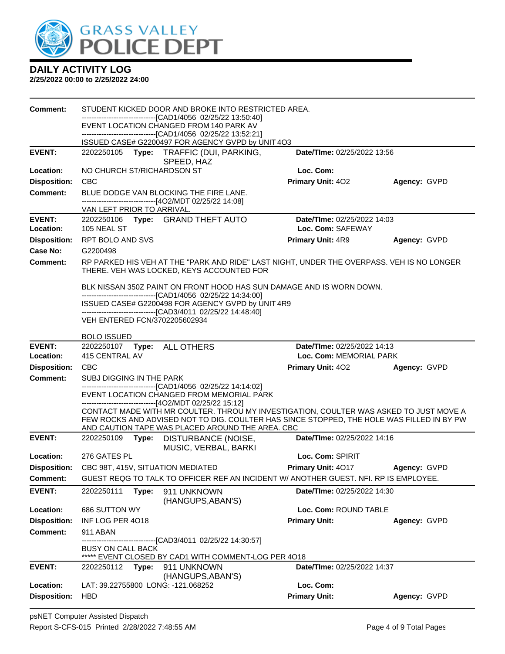

| Comment:            |                                    |       | STUDENT KICKED DOOR AND BROKE INTO RESTRICTED AREA.                                                        |                                                                                                                                                                                     |              |
|---------------------|------------------------------------|-------|------------------------------------------------------------------------------------------------------------|-------------------------------------------------------------------------------------------------------------------------------------------------------------------------------------|--------------|
|                     |                                    |       | EVENT LOCATION CHANGED FROM 140 PARK AV                                                                    |                                                                                                                                                                                     |              |
|                     |                                    |       | -------------------------------[CAD1/4056 02/25/22 13:52:21]                                               |                                                                                                                                                                                     |              |
| <b>EVENT:</b>       | 2202250105                         |       | ISSUED CASE# G2200497 FOR AGENCY GVPD by UNIT 4O3                                                          | Date/TIme: 02/25/2022 13:56                                                                                                                                                         |              |
|                     |                                    |       | Type: TRAFFIC (DUI, PARKING,<br>SPEED, HAZ                                                                 |                                                                                                                                                                                     |              |
| Location:           | NO CHURCH ST/RICHARDSON ST         |       |                                                                                                            | Loc. Com:                                                                                                                                                                           |              |
| <b>Disposition:</b> | <b>CBC</b>                         |       |                                                                                                            | <b>Primary Unit: 402</b>                                                                                                                                                            | Agency: GVPD |
| <b>Comment:</b>     |                                    |       | BLUE DODGE VAN BLOCKING THE FIRE LANE.<br>------------------------------[4O2/MDT 02/25/22 14:08]           |                                                                                                                                                                                     |              |
| <b>EVENT:</b>       | VAN LEFT PRIOR TO ARRIVAL.         |       | 2202250106 Type: GRAND THEFT AUTO                                                                          | Date/TIme: 02/25/2022 14:03                                                                                                                                                         |              |
| Location:           | 105 NEAL ST                        |       |                                                                                                            | Loc. Com: SAFEWAY                                                                                                                                                                   |              |
| <b>Disposition:</b> | RPT BOLO AND SVS                   |       |                                                                                                            | <b>Primary Unit: 4R9</b>                                                                                                                                                            | Agency: GVPD |
| Case No:            | G2200498                           |       |                                                                                                            |                                                                                                                                                                                     |              |
| Comment:            |                                    |       | THERE. VEH WAS LOCKED, KEYS ACCOUNTED FOR                                                                  | RP PARKED HIS VEH AT THE "PARK AND RIDE" LAST NIGHT, UNDER THE OVERPASS. VEH IS NO LONGER                                                                                           |              |
|                     |                                    |       | -------------------------------[CAD1/4056 02/25/22 14:34:00]                                               | BLK NISSAN 350Z PAINT ON FRONT HOOD HAS SUN DAMAGE AND IS WORN DOWN.                                                                                                                |              |
|                     |                                    |       | ISSUED CASE# G2200498 FOR AGENCY GVPD by UNIT 4R9                                                          |                                                                                                                                                                                     |              |
|                     | VEH ENTERED FCN/3702205602934      |       | -------------------------------[CAD3/4011 02/25/22 14:48:40]                                               |                                                                                                                                                                                     |              |
|                     | <b>BOLO ISSUED</b>                 |       |                                                                                                            |                                                                                                                                                                                     |              |
| <b>EVENT:</b>       | 2202250107    Type: ALL OTHERS     |       |                                                                                                            | Date/TIme: 02/25/2022 14:13                                                                                                                                                         |              |
| Location:           | 415 CENTRAL AV                     |       |                                                                                                            | Loc. Com: MEMORIAL PARK                                                                                                                                                             |              |
|                     |                                    |       |                                                                                                            |                                                                                                                                                                                     |              |
| <b>Disposition:</b> | CBC                                |       |                                                                                                            | <b>Primary Unit: 402</b>                                                                                                                                                            | Agency: GVPD |
| <b>Comment:</b>     | SUBJ DIGGING IN THE PARK           |       |                                                                                                            |                                                                                                                                                                                     |              |
|                     |                                    |       | -------------------------------[CAD1/4056 02/25/22 14:14:02]<br>EVENT LOCATION CHANGED FROM MEMORIAL PARK  |                                                                                                                                                                                     |              |
|                     |                                    |       | ------------------------------[4O2/MDT 02/25/22 15:12]<br>AND CAUTION TAPE WAS PLACED AROUND THE AREA. CBC | CONTACT MADE WITH MR COULTER. THROU MY INVESTIGATION, COULTER WAS ASKED TO JUST MOVE A<br>FEW ROCKS AND ADVISED NOT TO DIG. COULTER HAS SINCE STOPPED, THE HOLE WAS FILLED IN BY PW |              |
| <b>EVENT:</b>       | 2202250109                         |       | Type: DISTURBANCE (NOISE,<br>MUSIC, VERBAL, BARKI                                                          | Date/TIme: 02/25/2022 14:16                                                                                                                                                         |              |
| Location:           | 276 GATES PL                       |       |                                                                                                            | Loc. Com: SPIRIT                                                                                                                                                                    |              |
| <b>Disposition:</b> | CBC 98T, 415V, SITUATION MEDIATED  |       |                                                                                                            | Primary Unit: 4017                                                                                                                                                                  | Agency: GVPD |
| Comment:            |                                    |       |                                                                                                            | GUEST REQG TO TALK TO OFFICER REF AN INCIDENT W/ ANOTHER GUEST. NFI. RP IS EMPLOYEE.                                                                                                |              |
| <b>EVENT:</b>       | 2202250111                         | Type: | 911 UNKNOWN<br>(HANGUPS, ABAN'S)                                                                           | Date/TIme: 02/25/2022 14:30                                                                                                                                                         |              |
| Location:           | 686 SUTTON WY                      |       |                                                                                                            | Loc. Com: ROUND TABLE                                                                                                                                                               |              |
| <b>Disposition:</b> | INF LOG PER 4018                   |       |                                                                                                            | <b>Primary Unit:</b>                                                                                                                                                                | Agency: GVPD |
| <b>Comment:</b>     | 911 ABAN                           |       |                                                                                                            |                                                                                                                                                                                     |              |
|                     | <b>BUSY ON CALL BACK</b>           |       | -------------------------------[CAD3/4011 02/25/22 14:30:57]                                               |                                                                                                                                                                                     |              |
| <b>EVENT:</b>       | 2202250112 <b>Type:</b>            |       | ***** EVENT CLOSED BY CAD1 WITH COMMENT-LOG PER 4018<br>911 UNKNOWN                                        | Date/TIme: 02/25/2022 14:37                                                                                                                                                         |              |
| Location:           | LAT: 39.22755800 LONG: -121.068252 |       | (HANGUPS, ABAN'S)                                                                                          | Loc. Com:                                                                                                                                                                           |              |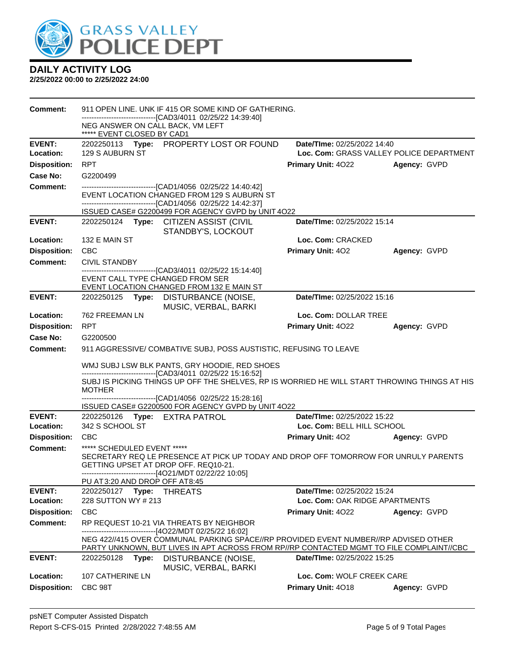

| <b>Comment:</b>            |                                                                | 911 OPEN LINE. UNK IF 415 OR SOME KIND OF GATHERING.                                                                                                                                                                                         |                                                               |                                          |
|----------------------------|----------------------------------------------------------------|----------------------------------------------------------------------------------------------------------------------------------------------------------------------------------------------------------------------------------------------|---------------------------------------------------------------|------------------------------------------|
|                            | NEG ANSWER ON CALL BACK, VM LEFT<br>***** EVENT CLOSED BY CAD1 | ------------------------[CAD3/4011_02/25/22_14:39:40]                                                                                                                                                                                        |                                                               |                                          |
| <b>EVENT:</b>              |                                                                | 2202250113 Type: PROPERTY LOST OR FOUND                                                                                                                                                                                                      | Date/TIme: 02/25/2022 14:40                                   |                                          |
| Location:                  | 129 S AUBURN ST                                                |                                                                                                                                                                                                                                              |                                                               | Loc. Com: GRASS VALLEY POLICE DEPARTMENT |
| <b>Disposition:</b>        | <b>RPT</b>                                                     |                                                                                                                                                                                                                                              | <b>Primary Unit: 4022</b>                                     | Agency: GVPD                             |
| Case No:                   | G2200499                                                       |                                                                                                                                                                                                                                              |                                                               |                                          |
| Comment:                   |                                                                | -------------------------------[CAD1/4056 02/25/22 14:40:42]<br>EVENT LOCATION CHANGED FROM 129 S AUBURN ST<br>------------------------[CAD1/4056 02/25/22 14:42:37]                                                                         |                                                               |                                          |
|                            |                                                                | ISSUED CASE# G2200499 FOR AGENCY GVPD by UNIT 4O22                                                                                                                                                                                           |                                                               |                                          |
| <b>EVENT:</b>              |                                                                | 2202250124 Type: CITIZEN ASSIST (CIVIL<br>STANDBY'S, LOCKOUT                                                                                                                                                                                 | Date/TIme: 02/25/2022 15:14                                   |                                          |
| Location:                  | 132 E MAIN ST                                                  |                                                                                                                                                                                                                                              | Loc. Com: CRACKED                                             |                                          |
| <b>Disposition:</b>        | <b>CBC</b>                                                     |                                                                                                                                                                                                                                              | Primary Unit: 402                                             | Agency: GVPD                             |
| <b>Comment:</b>            | <b>CIVIL STANDBY</b>                                           |                                                                                                                                                                                                                                              |                                                               |                                          |
|                            | EVENT CALL TYPE CHANGED FROM SER                               | -------------------------------[CAD3/4011 02/25/22 15:14:40]<br>EVENT LOCATION CHANGED FROM 132 E MAIN ST                                                                                                                                    |                                                               |                                          |
| <b>EVENT:</b>              | 2202250125                                                     | Type: DISTURBANCE (NOISE,<br>MUSIC, VERBAL, BARKI                                                                                                                                                                                            | Date/TIme: 02/25/2022 15:16                                   |                                          |
| Location:                  | 762 FREEMAN LN                                                 |                                                                                                                                                                                                                                              | Loc. Com: DOLLAR TREE                                         |                                          |
| <b>Disposition:</b>        | <b>RPT</b>                                                     |                                                                                                                                                                                                                                              | Primary Unit: 4022                                            | Agency: GVPD                             |
| Case No:                   | G2200500                                                       |                                                                                                                                                                                                                                              |                                                               |                                          |
| <b>Comment:</b>            |                                                                | 911 AGGRESSIVE/ COMBATIVE SUBJ, POSS AUSTISTIC, REFUSING TO LEAVE                                                                                                                                                                            |                                                               |                                          |
|                            |                                                                | WMJ SUBJ LSW BLK PANTS, GRY HOODIE, RED SHOES                                                                                                                                                                                                |                                                               |                                          |
|                            | <b>MOTHER</b>                                                  | ------------------------------[CAD3/4011 02/25/22 15:16:52]<br>SUBJ IS PICKING THINGS UP OFF THE SHELVES, RP IS WORRIED HE WILL START THROWING THINGS AT HIS                                                                                 |                                                               |                                          |
|                            |                                                                | -------------------------------[CAD1/4056 02/25/22 15:28:16]                                                                                                                                                                                 |                                                               |                                          |
|                            |                                                                | ISSUED CASE# G2200500 FOR AGENCY GVPD by UNIT 4O22                                                                                                                                                                                           |                                                               |                                          |
| <b>EVENT:</b><br>Location: | 2202250126 Type: EXTRA PATROL<br>342 S SCHOOL ST               |                                                                                                                                                                                                                                              | Date/TIme: 02/25/2022 15:22<br>Loc. Com: BELL HILL SCHOOL     |                                          |
| <b>Disposition:</b>        | <b>CBC</b>                                                     |                                                                                                                                                                                                                                              | <b>Primary Unit: 402</b>                                      | Agency: GVPD                             |
| <b>Comment:</b>            | ***** SCHEDULED EVENT *****                                    |                                                                                                                                                                                                                                              |                                                               |                                          |
|                            |                                                                | SECRETARY REQ LE PRESENCE AT PICK UP TODAY AND DROP OFF TOMORROW FOR UNRULY PARENTS<br>GETTING UPSET AT DROP OFF. REQ10-21.                                                                                                                  |                                                               |                                          |
|                            |                                                                | -------------------------[4O21/MDT 02/22/22 10:05]                                                                                                                                                                                           |                                                               |                                          |
|                            | PU AT 3:20 AND DROP OFF AT 8:45                                |                                                                                                                                                                                                                                              |                                                               |                                          |
| <b>EVENT:</b><br>Location: | 228 SUTTON WY # 213                                            |                                                                                                                                                                                                                                              | Date/TIme: 02/25/2022 15:24<br>Loc. Com: OAK RIDGE APARTMENTS |                                          |
| <b>Disposition:</b>        | <b>CBC</b>                                                     |                                                                                                                                                                                                                                              | <b>Primary Unit: 4022</b>                                     | Agency: GVPD                             |
| <b>Comment:</b>            |                                                                | RP REQUEST 10-21 VIA THREATS BY NEIGHBOR                                                                                                                                                                                                     |                                                               |                                          |
|                            |                                                                | -------------------------------[4O22/MDT 02/25/22 16:02]<br>NEG 422//415 OVER COMMUNAL PARKING SPACE//RP PROVIDED EVENT NUMBER//RP ADVISED OTHER<br>PARTY UNKNOWN, BUT LIVES IN APT ACROSS FROM RP//RP CONTACTED MGMT TO FILE COMPLAINT//CBC |                                                               |                                          |
| <b>EVENT:</b>              | 2202250128<br>Type:                                            | DISTURBANCE (NOISE,<br>MUSIC, VERBAL, BARKI                                                                                                                                                                                                  | Date/TIme: 02/25/2022 15:25                                   |                                          |
| Location:                  | 107 CATHERINE LN                                               |                                                                                                                                                                                                                                              | Loc. Com: WOLF CREEK CARE                                     |                                          |
| <b>Disposition:</b>        | CBC 98T                                                        |                                                                                                                                                                                                                                              | Primary Unit: 4018                                            | Agency: GVPD                             |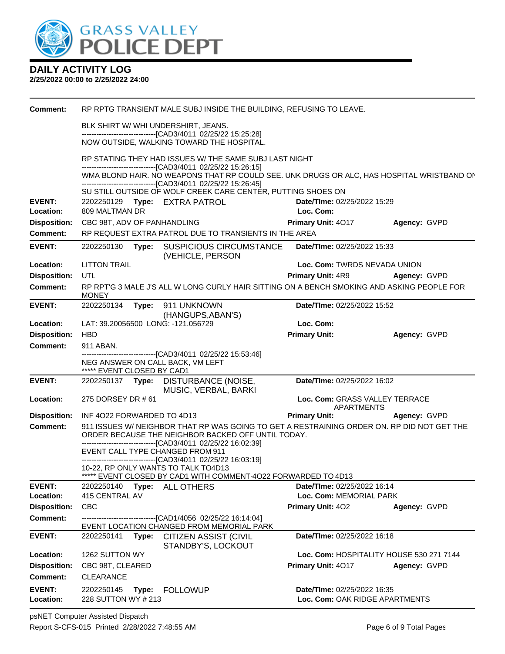

#### **2/25/2022 00:00 to 2/25/2022 24:00**

| <b>Comment:</b>     |                                                                | RP RPTG TRANSIENT MALE SUBJ INSIDE THE BUILDING, REFUSING TO LEAVE.                                                                              |                                                               |                                          |
|---------------------|----------------------------------------------------------------|--------------------------------------------------------------------------------------------------------------------------------------------------|---------------------------------------------------------------|------------------------------------------|
|                     | BLK SHIRT W/WHI UNDERSHIRT, JEANS.                             |                                                                                                                                                  |                                                               |                                          |
|                     |                                                                | -------------------------------[CAD3/4011 02/25/22 15:25:28]                                                                                     |                                                               |                                          |
|                     |                                                                | NOW OUTSIDE, WALKING TOWARD THE HOSPITAL.                                                                                                        |                                                               |                                          |
|                     |                                                                | RP STATING THEY HAD ISSUES W/ THE SAME SUBJ LAST NIGHT<br>-------------------------------[CAD3/4011 02/25/22 15:26:15]                           |                                                               |                                          |
|                     |                                                                | WMA BLOND HAIR. NO WEAPONS THAT RP COULD SEE. UNK DRUGS OR ALC, HAS HOSPITAL WRISTBAND ON                                                        |                                                               |                                          |
|                     |                                                                | -------------------------------[CAD3/4011 02/25/22 15:26:45]<br>SU STILL OUTSIDE OF WOLF CREEK CARE CENTER, PUTTING SHOES ON                     |                                                               |                                          |
| <b>EVENT:</b>       | 2202250129 Type: EXTRA PATROL                                  |                                                                                                                                                  | Date/TIme: 02/25/2022 15:29                                   |                                          |
| Location:           | 809 MALTMAN DR                                                 |                                                                                                                                                  | Loc. Com:                                                     |                                          |
| <b>Disposition:</b> | CBC 98T, ADV OF PANHANDLING                                    |                                                                                                                                                  | Primary Unit: 4017                                            | Agency: GVPD                             |
| <b>Comment:</b>     |                                                                | RP REQUEST EXTRA PATROL DUE TO TRANSIENTS IN THE AREA                                                                                            |                                                               |                                          |
| <b>EVENT:</b>       | 2202250130                                                     | Type: SUSPICIOUS CIRCUMSTANCE<br>(VEHICLE, PERSON                                                                                                | Date/TIme: 02/25/2022 15:33                                   |                                          |
| Location:           | <b>LITTON TRAIL</b>                                            |                                                                                                                                                  | Loc. Com: TWRDS NEVADA UNION                                  |                                          |
| <b>Disposition:</b> | <b>UTL</b>                                                     |                                                                                                                                                  | <b>Primary Unit: 4R9</b>                                      | Agency: GVPD                             |
| <b>Comment:</b>     | <b>MONEY</b>                                                   | RP RPTG 3 MALE J'S ALL W LONG CURLY HAIR SITTING ON A BENCH SMOKING AND ASKING PEOPLE FOR                                                        |                                                               |                                          |
| <b>EVENT:</b>       | 2202250134                                                     | Type: 911 UNKNOWN                                                                                                                                | Date/TIme: 02/25/2022 15:52                                   |                                          |
| Location:           | LAT: 39.20056500 LONG: -121.056729                             | (HANGUPS, ABAN'S)                                                                                                                                | Loc. Com:                                                     |                                          |
| <b>Disposition:</b> | <b>HBD</b>                                                     |                                                                                                                                                  | <b>Primary Unit:</b>                                          | Agency: GVPD                             |
| <b>Comment:</b>     | 911 ABAN.                                                      |                                                                                                                                                  |                                                               |                                          |
|                     | NEG ANSWER ON CALL BACK, VM LEFT<br>***** EVENT CLOSED BY CAD1 | -----------------------[CAD3/4011 02/25/22 15:53:46]                                                                                             |                                                               |                                          |
| <b>EVENT:</b>       |                                                                | 2202250137 Type: DISTURBANCE (NOISE,                                                                                                             | Date/TIme: 02/25/2022 16:02                                   |                                          |
|                     |                                                                |                                                                                                                                                  |                                                               |                                          |
| Location:           | 275 DORSEY DR # 61                                             | MUSIC, VERBAL, BARKI                                                                                                                             | Loc. Com: GRASS VALLEY TERRACE                                |                                          |
| <b>Disposition:</b> | INF 4022 FORWARDED TO 4D13                                     |                                                                                                                                                  | <b>APARTMENTS</b><br><b>Primary Unit:</b>                     | Agency: GVPD                             |
| <b>Comment:</b>     |                                                                | 911 ISSUES W/ NEIGHBOR THAT RP WAS GOING TO GET A RESTRAINING ORDER ON. RP DID NOT GET THE<br>ORDER BECAUSE THE NEIGHBOR BACKED OFF UNTIL TODAY. |                                                               |                                          |
|                     |                                                                | -------------------------------[CAD3/4011 02/25/22 16:02:39]                                                                                     |                                                               |                                          |
|                     | EVENT CALL TYPE CHANGED FROM 911                               | -------------------------------[CAD3/4011 02/25/22 16:03:19]                                                                                     |                                                               |                                          |
|                     | 10-22, RP ONLY WANTS TO TALK TO4D13                            |                                                                                                                                                  |                                                               |                                          |
| <b>EVENT:</b>       | 2202250140                                                     | ***** EVENT CLOSED BY CAD1 WITH COMMENT-4022 FORWARDED TO 4D13<br>Type: ALL OTHERS                                                               | <b>Date/Time: 02/25/2022 16:14</b>                            |                                          |
| Location:           | 415 CENTRAL AV                                                 |                                                                                                                                                  | Loc. Com: MEMORIAL PARK                                       |                                          |
| <b>Disposition:</b> | <b>CBC</b>                                                     |                                                                                                                                                  | Primary Unit: 402                                             | Agency: GVPD                             |
| <b>Comment:</b>     |                                                                | -------------------------------[CAD1/4056 02/25/22 16:14:04]                                                                                     |                                                               |                                          |
| <b>EVENT:</b>       | 2202250141<br>Type:                                            | EVENT LOCATION CHANGED FROM MEMORIAL PARK<br><b>CITIZEN ASSIST (CIVIL</b>                                                                        | Date/TIme: 02/25/2022 16:18                                   |                                          |
| Location:           | 1262 SUTTON WY                                                 | STANDBY'S, LOCKOUT                                                                                                                               |                                                               | Loc. Com: HOSPITALITY HOUSE 530 271 7144 |
| <b>Disposition:</b> | CBC 98T, CLEARED                                               |                                                                                                                                                  | Primary Unit: 4017                                            | Agency: GVPD                             |
| <b>Comment:</b>     | <b>CLEARANCE</b>                                               |                                                                                                                                                  |                                                               |                                          |
| <b>EVENT:</b>       | 2202250145<br>Type:<br>228 SUTTON WY # 213                     | <b>FOLLOWUP</b>                                                                                                                                  | Date/TIme: 02/25/2022 16:35<br>Loc. Com: OAK RIDGE APARTMENTS |                                          |

psNET Computer Assisted Dispatch Report S-CFS-015 Printed 2/28/2022 7:48:55 AM Page 6 of 9 Total Pages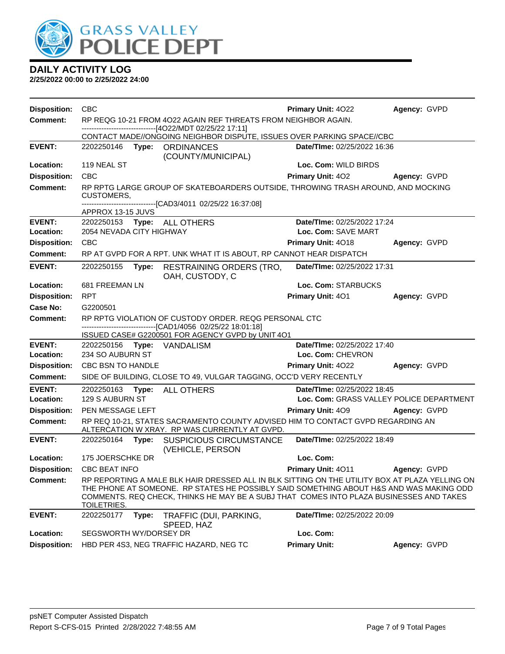

| <b>Disposition:</b> | <b>CBC</b>                                                    |                                                                                                                                                                                                                                                                                      | Primary Unit: 4022                       | Agency: GVPD |
|---------------------|---------------------------------------------------------------|--------------------------------------------------------------------------------------------------------------------------------------------------------------------------------------------------------------------------------------------------------------------------------------|------------------------------------------|--------------|
| <b>Comment:</b>     |                                                               | RP REQG 10-21 FROM 4O22 AGAIN REF THREATS FROM NEIGHBOR AGAIN.                                                                                                                                                                                                                       |                                          |              |
|                     | ------------------------------[4O22/MDT 02/25/22 17:11]       | CONTACT MADE//ONGOING NEIGHBOR DISPUTE, ISSUES OVER PARKING SPACE//CBC                                                                                                                                                                                                               |                                          |              |
| <b>EVENT:</b>       | 2202250146 Type: ORDINANCES                                   |                                                                                                                                                                                                                                                                                      | Date/TIme: 02/25/2022 16:36              |              |
|                     |                                                               | (COUNTY/MUNICIPAL)                                                                                                                                                                                                                                                                   |                                          |              |
| Location:           | 119 NEAL ST                                                   |                                                                                                                                                                                                                                                                                      | Loc. Com: WILD BIRDS                     |              |
| <b>Disposition:</b> | CBC                                                           |                                                                                                                                                                                                                                                                                      | Primary Unit: 402                        | Agency: GVPD |
| <b>Comment:</b>     | <b>CUSTOMERS,</b>                                             | RP RPTG LARGE GROUP OF SKATEBOARDERS OUTSIDE, THROWING TRASH AROUND, AND MOCKING                                                                                                                                                                                                     |                                          |              |
|                     | APPROX 13-15 JUVS                                             | --------------------------[CAD3/4011_02/25/22_16:37:08]                                                                                                                                                                                                                              |                                          |              |
| <b>EVENT:</b>       | 2202250153 Type: ALL OTHERS                                   |                                                                                                                                                                                                                                                                                      | Date/TIme: 02/25/2022 17:24              |              |
| Location:           | 2054 NEVADA CITY HIGHWAY                                      |                                                                                                                                                                                                                                                                                      | Loc. Com: SAVE MART                      |              |
| <b>Disposition:</b> | CBC                                                           |                                                                                                                                                                                                                                                                                      | Primary Unit: 4018                       | Agency: GVPD |
| <b>Comment:</b>     |                                                               | RP AT GVPD FOR A RPT. UNK WHAT IT IS ABOUT, RP CANNOT HEAR DISPATCH                                                                                                                                                                                                                  |                                          |              |
| <b>EVENT:</b>       | 2202250155<br>Type:                                           | <b>RESTRAINING ORDERS (TRO,</b><br>OAH, CUSTODY, C                                                                                                                                                                                                                                   | Date/TIme: 02/25/2022 17:31              |              |
| Location:           | 681 FREEMAN LN                                                |                                                                                                                                                                                                                                                                                      | Loc. Com: STARBUCKS                      |              |
| <b>Disposition:</b> | <b>RPT</b>                                                    |                                                                                                                                                                                                                                                                                      | Primary Unit: 401                        | Agency: GVPD |
| Case No:            | G2200501                                                      |                                                                                                                                                                                                                                                                                      |                                          |              |
| Comment:            |                                                               | RP RPTG VIOLATION OF CUSTODY ORDER. REQG PERSONAL CTC                                                                                                                                                                                                                                |                                          |              |
|                     | --------------------------------[CAD1/4056 02/25/22 18:01:18] | ISSUED CASE# G2200501 FOR AGENCY GVPD by UNIT 4O1                                                                                                                                                                                                                                    |                                          |              |
| <b>EVENT:</b>       | 2202250156 <b>Type:</b> VANDALISM                             |                                                                                                                                                                                                                                                                                      | Date/TIme: 02/25/2022 17:40              |              |
| Location:           | 234 SO AUBURN ST                                              |                                                                                                                                                                                                                                                                                      | Loc. Com: CHEVRON                        |              |
| <b>Disposition:</b> | CBC BSN TO HANDLE                                             |                                                                                                                                                                                                                                                                                      | <b>Primary Unit: 4022</b>                | Agency: GVPD |
| <b>Comment:</b>     |                                                               | SIDE OF BUILDING, CLOSE TO 49, VULGAR TAGGING, OCC'D VERY RECENTLY                                                                                                                                                                                                                   |                                          |              |
| <b>EVENT:</b>       | 2202250163<br>Type:                                           | <b>ALL OTHERS</b>                                                                                                                                                                                                                                                                    | Date/TIme: 02/25/2022 18:45              |              |
| Location:           | 129 S AUBURN ST                                               |                                                                                                                                                                                                                                                                                      | Loc. Com: GRASS VALLEY POLICE DEPARTMENT |              |
| <b>Disposition:</b> | PEN MESSAGE LEFT                                              |                                                                                                                                                                                                                                                                                      | <b>Primary Unit: 409</b>                 | Agency: GVPD |
| <b>Comment:</b>     |                                                               | RP REQ 10-21, STATES SACRAMENTO COUNTY ADVISED HIM TO CONTACT GVPD REGARDING AN<br>ALTERCATION W XRAY. RP WAS CURRENTLY AT GVPD.                                                                                                                                                     |                                          |              |
| <b>EVENT:</b>       | 2202250164<br>Type:                                           | <b>SUSPICIOUS CIRCUMSTANCE</b><br>(VEHICLE, PERSON                                                                                                                                                                                                                                   | Date/TIme: 02/25/2022 18:49              |              |
| Location:           | 175 JOERSCHKE DR                                              |                                                                                                                                                                                                                                                                                      | Loc. Com:                                |              |
|                     | Disposition: CBC BEAT INFO                                    |                                                                                                                                                                                                                                                                                      | Primary Unit: 4011 Agency: GVPD          |              |
| <b>Comment:</b>     | TOILETRIES.                                                   | RP REPORTING A MALE BLK HAIR DRESSED ALL IN BLK SITTING ON THE UTILITY BOX AT PLAZA YELLING ON<br>THE PHONE AT SOMEONE. RP STATES HE POSSIBLY SAID SOMETHING ABOUT H&S AND WAS MAKING ODD<br>COMMENTS. REQ CHECK, THINKS HE MAY BE A SUBJ THAT COMES INTO PLAZA BUSINESSES AND TAKES |                                          |              |
| <b>EVENT:</b>       | 2202250177<br>Type:                                           | TRAFFIC (DUI, PARKING,<br>SPEED, HAZ                                                                                                                                                                                                                                                 | Date/TIme: 02/25/2022 20:09              |              |
| Location:           | SEGSWORTH WY/DORSEY DR                                        |                                                                                                                                                                                                                                                                                      | Loc. Com:                                |              |
| <b>Disposition:</b> | HBD PER 4S3, NEG TRAFFIC HAZARD, NEG TC                       |                                                                                                                                                                                                                                                                                      | <b>Primary Unit:</b>                     | Agency: GVPD |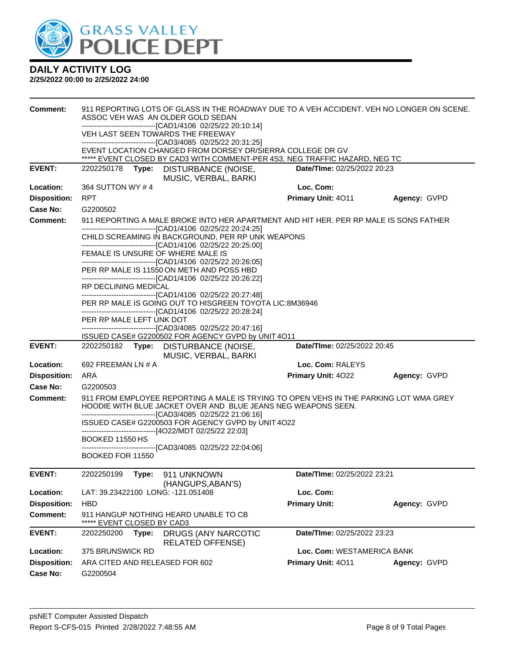

| <b>Comment:</b>     |                                    |       | 911 REPORTING LOTS OF GLASS IN THE ROADWAY DUE TO A VEH ACCIDENT. VEH NO LONGER ON SCENE.<br>ASSOC VEH WAS AN OLDER GOLD SEDAN                         |                             |              |
|---------------------|------------------------------------|-------|--------------------------------------------------------------------------------------------------------------------------------------------------------|-----------------------------|--------------|
|                     |                                    |       | -------------------------------[CAD1/4106 02/25/22 20:10:14]                                                                                           |                             |              |
|                     |                                    |       | VEH LAST SEEN TOWARDS THE FREEWAY                                                                                                                      |                             |              |
|                     |                                    |       | -------------------------------[CAD3/4085 02/25/22 20:31:25]<br>EVENT LOCATION CHANGED FROM DORSEY DR/SIERRA COLLEGE DR GV                             |                             |              |
|                     |                                    |       | ***** EVENT CLOSED BY CAD3 WITH COMMENT-PER 4S3, NEG TRAFFIC HAZARD, NEG TC                                                                            |                             |              |
| <b>EVENT:</b>       | 2202250178                         | Type: | DISTURBANCE (NOISE,<br>MUSIC, VERBAL, BARKI                                                                                                            | Date/TIme: 02/25/2022 20:23 |              |
| Location:           | 364 SUTTON WY #4                   |       |                                                                                                                                                        | Loc. Com:                   |              |
| <b>Disposition:</b> | <b>RPT</b>                         |       |                                                                                                                                                        | Primary Unit: 4011          | Agency: GVPD |
| Case No:            | G2200502                           |       |                                                                                                                                                        |                             |              |
| <b>Comment:</b>     |                                    |       | 911 REPORTING A MALE BROKE INTO HER APARTMENT AND HIT HER. PER RP MALE IS SONS FATHER<br>-------------------------------[CAD1/4106 02/25/22 20:24:25]  |                             |              |
|                     |                                    |       | CHILD SCREAMING IN BACKGROUND, PER RP UNK WEAPONS<br>-------------------------------[CAD1/4106 02/25/22 20:25:00]                                      |                             |              |
|                     |                                    |       | FEMALE IS UNSURE OF WHERE MALE IS<br>-------------------------------[CAD1/4106 02/25/22 20:26:05]                                                      |                             |              |
|                     |                                    |       | PER RP MALE IS 11550 ON METH AND POSS HBD<br>-------------------------------[CAD1/4106 02/25/22 20:26:22]                                              |                             |              |
|                     | RP DECLINING MEDICAL               |       |                                                                                                                                                        |                             |              |
|                     |                                    |       | -------------------------------[CAD1/4106 02/25/22 20:27:48]<br>PER RP MALE IS GOING OUT TO HISGREEN TOYOTA LIC:8M36946                                |                             |              |
|                     |                                    |       | -------------------------------[CAD1/4106 02/25/22 20:28:24]                                                                                           |                             |              |
|                     | PER RP MALE LEFT UNK DOT           |       | -------------------------------[CAD3/4085 02/25/22 20:47:16]                                                                                           |                             |              |
|                     |                                    |       | ISSUED CASE# G2200502 FOR AGENCY GVPD by UNIT 4O11                                                                                                     |                             |              |
| <b>EVENT:</b>       |                                    |       | 2202250182 Type: DISTURBANCE (NOISE,<br>MUSIC, VERBAL, BARKI                                                                                           | Date/TIme: 02/25/2022 20:45 |              |
| Location:           | 692 FREEMAN LN # A                 |       |                                                                                                                                                        | Loc. Com: RALEYS            |              |
| <b>Disposition:</b> | ARA                                |       |                                                                                                                                                        | Primary Unit: 4022          | Agency: GVPD |
| Case No:            | G2200503                           |       |                                                                                                                                                        |                             |              |
| <b>Comment:</b>     |                                    |       | 911 FROM EMPLOYEE REPORTING A MALE IS TRYING TO OPEN VEHS IN THE PARKING LOT WMA GREY<br>HOODIE WITH BLUE JACKET OVER AND BLUE JEANS NEG WEAPONS SEEN. |                             |              |
|                     |                                    |       | --------------------------------[CAD3/4085 02/25/22 21:06:16]<br>ISSUED CASE# G2200503 FOR AGENCY GVPD by UNIT 4O22                                    |                             |              |
|                     | BOOKED 11550 HS                    |       | ------------------------------[4O22/MDT 02/25/22 22:03]                                                                                                |                             |              |
|                     |                                    |       | -------------------------------[CAD3/4085 02/25/22 22:04:06]                                                                                           |                             |              |
|                     | BOOKED FOR 11550                   |       |                                                                                                                                                        |                             |              |
| <b>EVENT:</b>       |                                    |       |                                                                                                                                                        | Date/TIme: 02/25/2022 23:21 |              |
| Location:           |                                    |       |                                                                                                                                                        |                             |              |
|                     |                                    |       | (HANGUPS, ABAN'S)<br>LAT: 39.23422100 LONG: -121.051408                                                                                                | Loc. Com:                   |              |
| <b>Disposition:</b> | <b>HBD</b>                         |       |                                                                                                                                                        | <b>Primary Unit:</b>        | Agency: GVPD |
| <b>Comment:</b>     |                                    |       | 911 HANGUP NOTHING HEARD UNABLE TO CB                                                                                                                  |                             |              |
| <b>EVENT:</b>       | EVENT CLOSED BY CAD3<br>2202250200 | Type: | DRUGS (ANY NARCOTIC                                                                                                                                    | Date/TIme: 02/25/2022 23:23 |              |
| Location:           |                                    |       | <b>RELATED OFFENSE)</b>                                                                                                                                | Loc. Com: WESTAMERICA BANK  |              |
| <b>Disposition:</b> | 375 BRUNSWICK RD                   |       | ARA CITED AND RELEASED FOR 602                                                                                                                         | <b>Primary Unit: 4011</b>   | Agency: GVPD |
| <b>Case No:</b>     | G2200504                           |       |                                                                                                                                                        |                             |              |